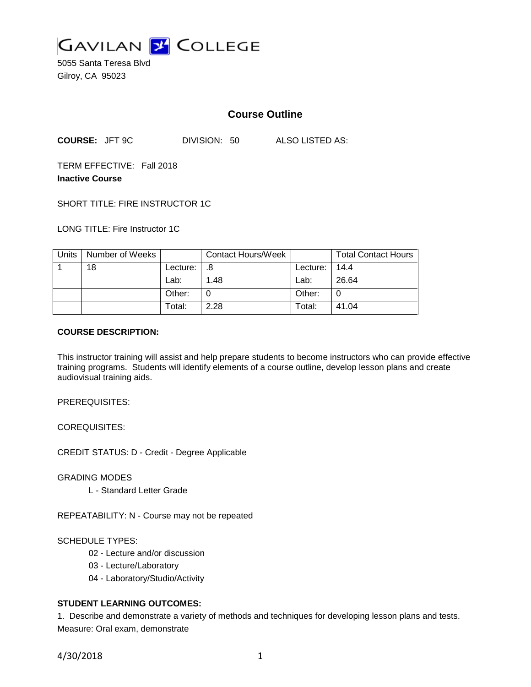

5055 Santa Teresa Blvd Gilroy, CA 95023

# **Course Outline**

**COURSE:** JFT 9C DIVISION: 50 ALSO LISTED AS:

TERM EFFECTIVE: Fall 2018 **Inactive Course**

SHORT TITLE: FIRE INSTRUCTOR 1C

LONG TITLE: Fire Instructor 1C

| <b>Units</b> | Number of Weeks |          | <b>Contact Hours/Week</b> |          | <b>Total Contact Hours</b> |
|--------------|-----------------|----------|---------------------------|----------|----------------------------|
|              | 18              | Lecture: | .8                        | Lecture: | 14.4                       |
|              |                 | Lab:     | 1.48                      | Lab:     | 26.64                      |
|              |                 | Other:   |                           | Other:   |                            |
|              |                 | Total:   | 2.28                      | Total:   | 41.04                      |

#### **COURSE DESCRIPTION:**

This instructor training will assist and help prepare students to become instructors who can provide effective training programs. Students will identify elements of a course outline, develop lesson plans and create audiovisual training aids.

PREREQUISITES:

COREQUISITES:

CREDIT STATUS: D - Credit - Degree Applicable

GRADING MODES

L - Standard Letter Grade

REPEATABILITY: N - Course may not be repeated

#### SCHEDULE TYPES:

- 02 Lecture and/or discussion
- 03 Lecture/Laboratory
- 04 Laboratory/Studio/Activity

### **STUDENT LEARNING OUTCOMES:**

1. Describe and demonstrate a variety of methods and techniques for developing lesson plans and tests. Measure: Oral exam, demonstrate

4/30/2018 1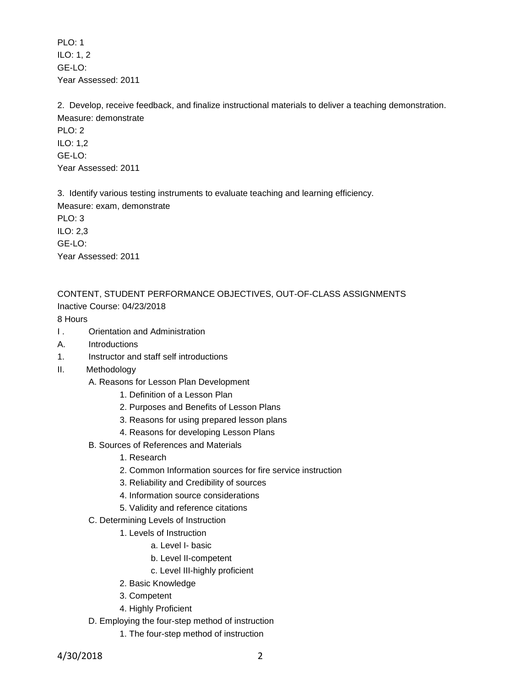PLO: 1 ILO: 1, 2 GE-LO: Year Assessed: 2011

2. Develop, receive feedback, and finalize instructional materials to deliver a teaching demonstration. Measure: demonstrate

PLO: 2 ILO: 1,2 GE-LO: Year Assessed: 2011

3. Identify various testing instruments to evaluate teaching and learning efficiency.

Measure: exam, demonstrate

PLO: 3 ILO: 2,3

GE-LO:

Year Assessed: 2011

CONTENT, STUDENT PERFORMANCE OBJECTIVES, OUT-OF-CLASS ASSIGNMENTS Inactive Course: 04/23/2018

8 Hours

- I . Orientation and Administration
- A. Introductions
- 1. Instructor and staff self introductions
- II. Methodology
	- A. Reasons for Lesson Plan Development
		- 1. Definition of a Lesson Plan
		- 2. Purposes and Benefits of Lesson Plans
		- 3. Reasons for using prepared lesson plans
		- 4. Reasons for developing Lesson Plans
	- B. Sources of References and Materials
		- 1. Research
		- 2. Common Information sources for fire service instruction
		- 3. Reliability and Credibility of sources
		- 4. Information source considerations
		- 5. Validity and reference citations
	- C. Determining Levels of Instruction
		- 1. Levels of Instruction
			- a. Level I- basic
			- b. Level II-competent
			- c. Level III-highly proficient
		- 2. Basic Knowledge
		- 3. Competent
		- 4. Highly Proficient
	- D. Employing the four-step method of instruction
		- 1. The four-step method of instruction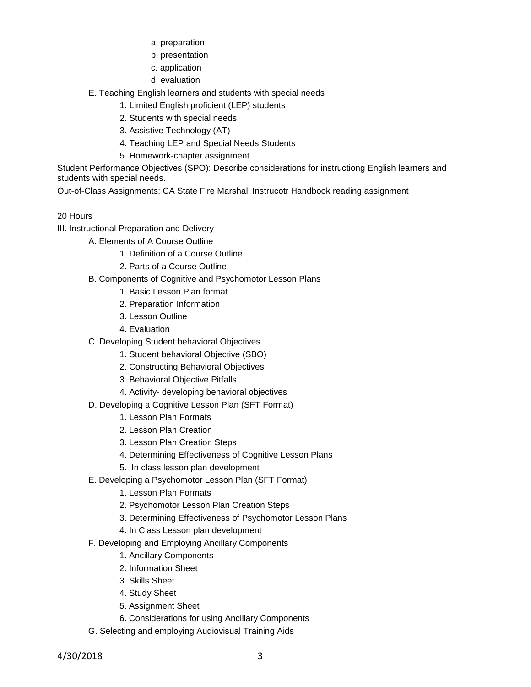- a. preparation
- b. presentation
- c. application
- d. evaluation
- E. Teaching English learners and students with special needs
	- 1. Limited English proficient (LEP) students
	- 2. Students with special needs
	- 3. Assistive Technology (AT)
	- 4. Teaching LEP and Special Needs Students
	- 5. Homework-chapter assignment

Student Performance Objectives (SPO): Describe considerations for instructiong English learners and students with special needs.

Out-of-Class Assignments: CA State Fire Marshall Instrucotr Handbook reading assignment

## 20 Hours

- III. Instructional Preparation and Delivery
	- A. Elements of A Course Outline
		- 1. Definition of a Course Outline
		- 2. Parts of a Course Outline
	- B. Components of Cognitive and Psychomotor Lesson Plans
		- 1. Basic Lesson Plan format
		- 2. Preparation Information
		- 3. Lesson Outline
		- 4. Evaluation
	- C. Developing Student behavioral Objectives
		- 1. Student behavioral Objective (SBO)
		- 2. Constructing Behavioral Objectives
		- 3. Behavioral Objective Pitfalls
		- 4. Activity- developing behavioral objectives
	- D. Developing a Cognitive Lesson Plan (SFT Format)
		- 1. Lesson Plan Formats
		- 2. Lesson Plan Creation
		- 3. Lesson Plan Creation Steps
		- 4. Determining Effectiveness of Cognitive Lesson Plans
		- 5. In class lesson plan development
	- E. Developing a Psychomotor Lesson Plan (SFT Format)
		- 1. Lesson Plan Formats
		- 2. Psychomotor Lesson Plan Creation Steps
		- 3. Determining Effectiveness of Psychomotor Lesson Plans
		- 4. In Class Lesson plan development
	- F. Developing and Employing Ancillary Components
		- 1. Ancillary Components
		- 2. Information Sheet
		- 3. Skills Sheet
		- 4. Study Sheet
		- 5. Assignment Sheet
		- 6. Considerations for using Ancillary Components
	- G. Selecting and employing Audiovisual Training Aids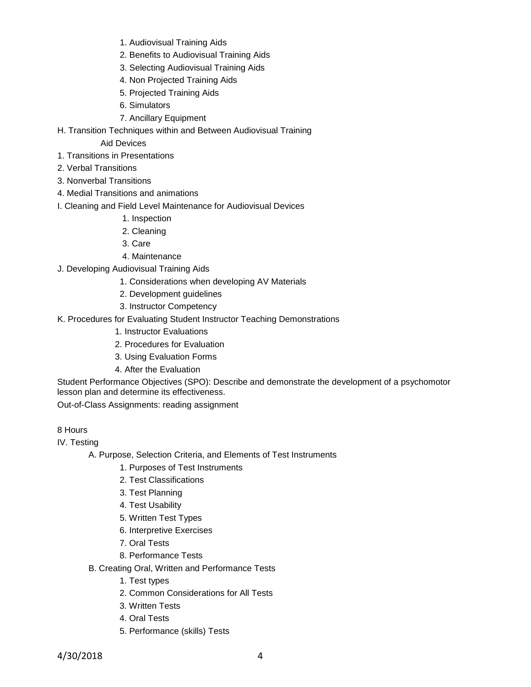- 1. Audiovisual Training Aids
- 2. Benefits to Audiovisual Training Aids
- 3. Selecting Audiovisual Training Aids
- 4. Non Projected Training Aids
- 5. Projected Training Aids
- 6. Simulators
- 7. Ancillary Equipment
- H. Transition Techniques within and Between Audiovisual Training

Aid Devices

- 1. Transitions in Presentations
- 2. Verbal Transitions
- 3. Nonverbal Transitions
- 4. Medial Transitions and animations
- I. Cleaning and Field Level Maintenance for Audiovisual Devices
	- 1. Inspection
	- 2. Cleaning
	- 3. Care
	- 4. Maintenance
- J. Developing Audiovisual Training Aids
	- 1. Considerations when developing AV Materials
	- 2. Development guidelines
	- 3. Instructor Competency
- K. Procedures for Evaluating Student Instructor Teaching Demonstrations
	- 1. Instructor Evaluations
	- 2. Procedures for Evaluation
	- 3. Using Evaluation Forms
	- 4. After the Evaluation

Student Performance Objectives (SPO): Describe and demonstrate the development of a psychomotor lesson plan and determine its effectiveness.

Out-of-Class Assignments: reading assignment

### 8 Hours

IV. Testing

A. Purpose, Selection Criteria, and Elements of Test Instruments

1. Purposes of Test Instruments

- 2. Test Classifications
- 3. Test Planning
- 4. Test Usability
- 5. Written Test Types
- 6. Interpretive Exercises
- 7. Oral Tests
- 8. Performance Tests

B. Creating Oral, Written and Performance Tests

- 1. Test types
- 2. Common Considerations for All Tests
- 3. Written Tests
- 4. Oral Tests
- 5. Performance (skills) Tests

4/30/2018 4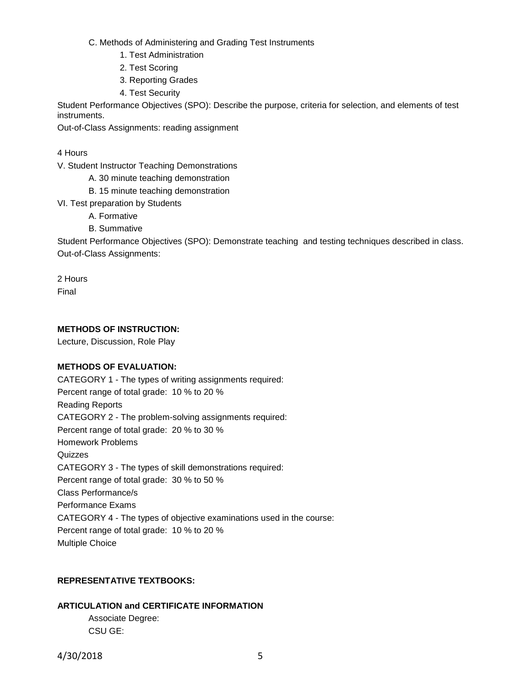C. Methods of Administering and Grading Test Instruments

1. Test Administration

- 2. Test Scoring
- 3. Reporting Grades
- 4. Test Security

Student Performance Objectives (SPO): Describe the purpose, criteria for selection, and elements of test instruments.

Out-of-Class Assignments: reading assignment

4 Hours

- V. Student Instructor Teaching Demonstrations
	- A. 30 minute teaching demonstration
	- B. 15 minute teaching demonstration
- VI. Test preparation by Students
	- A. Formative
	- B. Summative

Student Performance Objectives (SPO): Demonstrate teaching and testing techniques described in class. Out-of-Class Assignments:

2 Hours

Final

### **METHODS OF INSTRUCTION:**

Lecture, Discussion, Role Play

#### **METHODS OF EVALUATION:**

CATEGORY 1 - The types of writing assignments required: Percent range of total grade: 10 % to 20 % Reading Reports CATEGORY 2 - The problem-solving assignments required: Percent range of total grade: 20 % to 30 % Homework Problems **Quizzes** CATEGORY 3 - The types of skill demonstrations required: Percent range of total grade: 30 % to 50 % Class Performance/s Performance Exams CATEGORY 4 - The types of objective examinations used in the course: Percent range of total grade: 10 % to 20 % Multiple Choice

## **REPRESENTATIVE TEXTBOOKS:**

# **ARTICULATION and CERTIFICATE INFORMATION** Associate Degree: CSU GE: